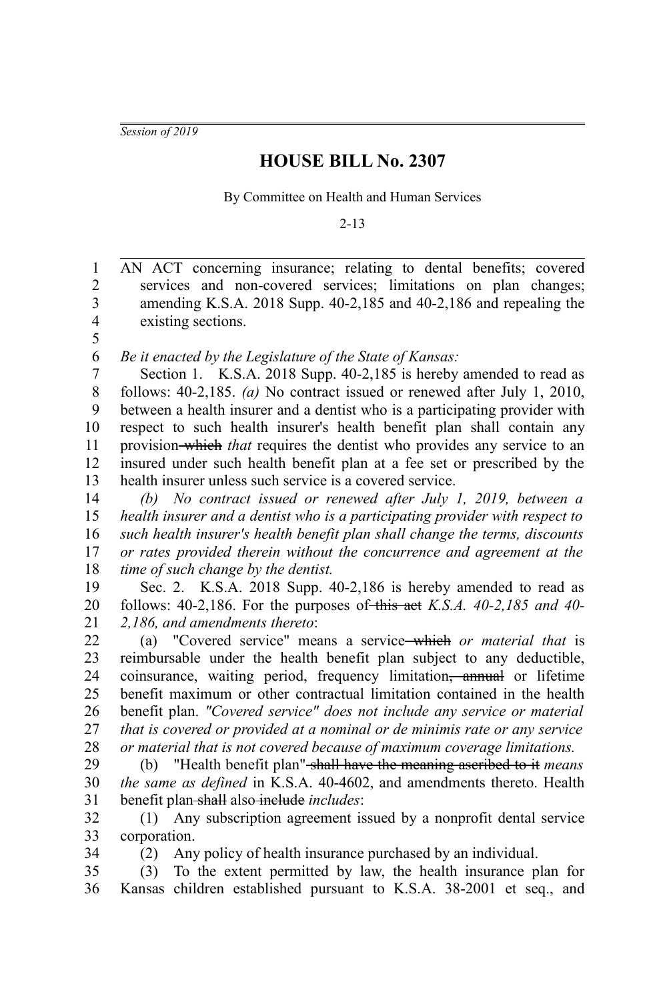*Session of 2019*

## **HOUSE BILL No. 2307**

By Committee on Health and Human Services

2-13

AN ACT concerning insurance; relating to dental benefits; covered services and non-covered services; limitations on plan changes; amending K.S.A. 2018 Supp. 40-2,185 and 40-2,186 and repealing the existing sections. 1 2 3 4 5

*Be it enacted by the Legislature of the State of Kansas:* 6

Section 1. K.S.A. 2018 Supp. 40-2,185 is hereby amended to read as follows: 40-2,185. *(a)* No contract issued or renewed after July 1, 2010, between a health insurer and a dentist who is a participating provider with respect to such health insurer's health benefit plan shall contain any provision which *that* requires the dentist who provides any service to an insured under such health benefit plan at a fee set or prescribed by the health insurer unless such service is a covered service. 7 8 9 10 11 12 13

*(b) No contract issued or renewed after July 1, 2019, between a health insurer and a dentist who is a participating provider with respect to such health insurer's health benefit plan shall change the terms, discounts or rates provided therein without the concurrence and agreement at the time of such change by the dentist.* 14 15 16 17 18

Sec. 2. K.S.A. 2018 Supp. 40-2,186 is hereby amended to read as follows: 40-2,186. For the purposes of this act *K.S.A. 40-2,185 and 40- 2,186, and amendments thereto*: 19 20 21

(a) "Covered service" means a service which *or material that* is reimbursable under the health benefit plan subject to any deductible, coinsurance, waiting period, frequency limitation<del>, annual</del> or lifetime benefit maximum or other contractual limitation contained in the health benefit plan. *"Covered service" does not include any service or material that is covered or provided at a nominal or de minimis rate or any service or material that is not covered because of maximum coverage limitations.* 22 23 24 25 26 27 28

(b) "Health benefit plan" shall have the meaning ascribed to it *means the same as defined* in K.S.A. 40-4602, and amendments thereto. Health benefit plan shall also include *includes*: 29 30 31

(1) Any subscription agreement issued by a nonprofit dental service corporation. 32 33

34

(2) Any policy of health insurance purchased by an individual.

(3) To the extent permitted by law, the health insurance plan for Kansas children established pursuant to K.S.A. 38-2001 et seq., and 35 36